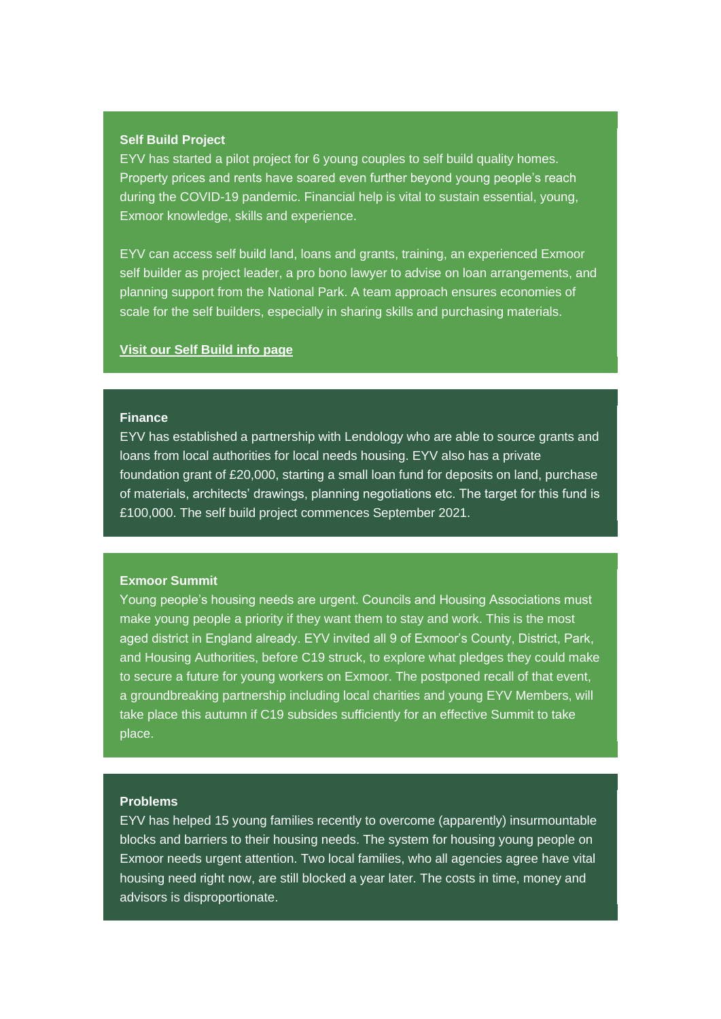# **Self Build Project**

EYV has started a pilot project for 6 young couples to self build quality homes. Property prices and rents have soared even further beyond young people's reach during the COVID-19 pandemic. Financial help is vital to sustain essential, young, Exmoor knowledge, skills and experience.

EYV can access self build land, loans and grants, training, an experienced Exmoor self builder as project leader, a pro bono lawyer to advise on loan arrangements, and planning support from the National Park. A team approach ensures economies of scale for the self builders, especially in sharing skills and purchasing materials.

# **[Visit our Self Build info page](https://exmooryoungvoices.us4.list-manage.com/track/click?u=7ee7ac68d897c6785206939d4&id=21764c671f&e=0ac54fb9f6)**

# **Finance**

EYV has established a partnership with Lendology who are able to source grants and loans from local authorities for local needs housing. EYV also has a private foundation grant of £20,000, starting a small loan fund for deposits on land, purchase of materials, architects' drawings, planning negotiations etc. The target for this fund is £100,000. The self build project commences September 2021.

# **Exmoor Summit**

Young people's housing needs are urgent. Councils and Housing Associations must make young people a priority if they want them to stay and work. This is the most aged district in England already. EYV invited all 9 of Exmoor's County, District, Park, and Housing Authorities, before C19 struck, to explore what pledges they could make to secure a future for young workers on Exmoor. The postponed recall of that event, a groundbreaking partnership including local charities and young EYV Members, will take place this autumn if C19 subsides sufficiently for an effective Summit to take place.

### **Problems**

EYV has helped 15 young families recently to overcome (apparently) insurmountable blocks and barriers to their housing needs. The system for housing young people on Exmoor needs urgent attention. Two local families, who all agencies agree have vital housing need right now, are still blocked a year later. The costs in time, money and advisors is disproportionate.